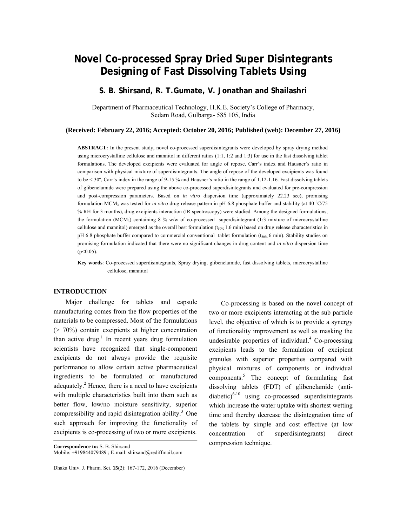# **Novel Co-processed Spray Dried Super Disintegrants Designing of Fast Dissolving Tablets Using**

# **S. B. Shirsand, R. T.Gumate, V. Jonathan and Shailashri**

Department of Pharmaceutical Technology, H.K.E. Society's College of Pharmacy, Sedam Road, Gulbarga- 585 105, India

#### **(Received: February 22, 2016; Accepted: October 20, 2016; Published (web): December 27, 2016)**

**ABSTRACT:** In the present study, novel co-processed superdisintegrants were developed by spray drying method using microcrystalline cellulose and mannitol in different ratios  $(1:1, 1:2$  and  $1:3)$  for use in the fast dissolving tablet formulations. The developed excipients were evaluated for angle of repose, Carr's index and Hausner's ratio in comparison with physical mixture of superdisintegrants. The angle of repose of the developed excipients was found to be  $< 30^\circ$ , Carr's index in the range of 9-15 % and Hausner's ratio in the range of 1.12-1.16. Fast dissolving tablets of glibenclamide were prepared using the above co-processed superdisintegrants and evaluated for pre-compression and post-compression parameters. Based on *in vitro* dispersion time (approximately 22.23 sec), promising formulation MCM<sub>3</sub> was tested for *in vitro* drug release pattern in pH 6.8 phosphate buffer and stability (at 40  $^{\circ}$ C/75 % RH for 3 months), drug excipients interaction (IR spectroscopy) were studied. Among the designed formulations, the formulation (MCM<sub>3</sub>) containing 8 % w/w of co-processed superdisintegrant (1:3 mixture of microcrystalline cellulose and mannitol) emerged as the overall best formulation  $(t<sub>50%</sub> 1.6 min)$  based on drug release characteristics in pH 6.8 phosphate buffer compared to commercial conventional tablet formulation ( $t_{50\%}$  6 min). Stability studies on promising formulation indicated that there were no significant changes in drug content and *in vitro* dispersion time  $(p<0.05)$ .

**Key words**: Co-processed superdisintegrants, Spray drying, glibenclamide, fast dissolving tablets, microcrystalline cellulose, mannitol

## **INTRODUCTION**

 Major challenge for tablets and capsule manufacturing comes from the flow properties of the materials to be compressed. Most of the formulations (> 70%) contain excipients at higher concentration than active drug.<sup>1</sup> In recent years drug formulation scientists have recognized that single-component excipients do not always provide the requisite performance to allow certain active pharmaceutical ingredients to be formulated or manufactured adequately. ${}^{2}$  Hence, there is a need to have excipients with multiple characteristics built into them such as better flow, low/no moisture sensitivity, superior compressibility and rapid disintegration ability.<sup>3</sup> One such approach for improving the functionality of excipients is co-processing of two or more excipients.

**Correspondence to:** S. B. Shirsand Mobile: +919844079489 ; E-mail: shirsand@rediffmail.com

Dhaka Univ. J. Pharm. Sci. **15**(2): 167-172, 2016 (December)

 Co-processing is based on the novel concept of two or more excipients interacting at the sub particle level, the objective of which is to provide a synergy of functionality improvement as well as masking the undesirable properties of individual. $4$  Co-processing excipients leads to the formulation of excipient granules with superior properties compared with physical mixtures of components or individual components.<sup>5</sup> The concept of formulating fast dissolving tablets (FDT) of glibenclamide (antidiabetic) $6-10$  using co-processed superdisintegrants which increase the water uptake with shortest wetting time and thereby decrease the disintegration time of the tablets by simple and cost effective (at low concentration of superdisintegrants) direct compression technique.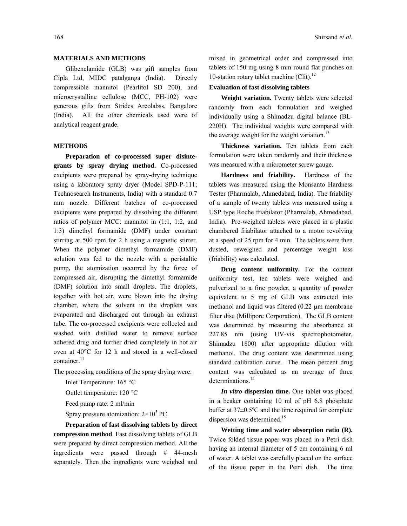## **MATERIALS AND METHODS**

 Glibenclamide (GLB) was gift samples from Cipla Ltd, MIDC patalganga (India). Directly compressible mannitol (Pearlitol SD 200), and microcrystalline cellulose (MCC, PH-102) were generous gifts from Strides Arcolabss, Bangalore (India). All the other chemicals used were of analytical reagent grade.

# **METHODS**

 **Preparation of co-processed super disintegrants by spray drying method.** Co-processed excipients were prepared by spray-drying technique using a laboratory spray dryer (Model SPD-P-111; Technosearch Instruments, India) with a standard 0.7 mm nozzle. Different batches of co-processed excipients were prepared by dissolving the different ratios of polymer MCC: mannitol in (1:1, 1:2, and 1:3) dimethyl formamide (DMF) under constant stirring at 500 rpm for 2 h using a magnetic stirrer. When the polymer dimethyl formamide (DMF) solution was fed to the nozzle with a peristaltic pump, the atomization occurred by the force of compressed air, disrupting the dimethyl formamide (DMF) solution into small droplets. The droplets, together with hot air, were blown into the drying chamber, where the solvent in the droplets was evaporated and discharged out through an exhaust tube. The co-processed excipients were collected and washed with distilled water to remove surface adhered drug and further dried completely in hot air oven at 40°C for 12 h and stored in a well-closed  $container.<sup>11</sup>$ 

The processing conditions of the spray drying were:

Inlet Temperature: 165 °C

Outlet temperature: 120 °C

Feed pump rate: 2 ml/min

Spray pressure atomization:  $2 \times 10^5$  PC.

 **Preparation of fast dissolving tablets by direct compression method**. Fast dissolving tablets of GLB were prepared by direct compression method. All the ingredients were passed through # 44-mesh separately. Then the ingredients were weighed and mixed in geometrical order and compressed into tablets of 150 mg using 8 mm round flat punches on 10-station rotary tablet machine (Clit). $^{12}$ 

# **Evaluation of fast dissolving tablets**

 **Weight variation.** Twenty tablets were selected randomly from each formulation and weighed individually using a Shimadzu digital balance (BL-220H). The individual weights were compared with the average weight for the weight variation.<sup>13</sup>

 **Thickness variation.** Ten tablets from each formulation were taken randomly and their thickness was measured with a micrometer screw gauge.

 **Hardness and friability.** Hardness of the tablets was measured using the Monsanto Hardness Tester (Pharmalab, Ahmedabad, India). The friability of a sample of twenty tablets was measured using a USP type Roche friabilator (Pharmalab, Ahmedabad, India). Pre-weighed tablets were placed in a plastic chambered friabilator attached to a motor revolving at a speed of 25 rpm for 4 min. The tablets were then dusted, reweighed and percentage weight loss (friability) was calculated.

 **Drug content uniformity.** For the content uniformity test, ten tablets were weighed and pulverized to a fine powder, a quantity of powder equivalent to 5 mg of GLB was extracted into methanol and liquid was filtered (0.22  $\mu$ m membrane filter disc (Millipore Corporation). The GLB content was determined by measuring the absorbance at 227.85 nm (using UV-vis spectrophotometer, Shimadzu 1800) after appropriate dilution with methanol. The drug content was determined using standard calibration curve. The mean percent drug content was calculated as an average of three determinations.<sup>14</sup>

*In vitro* **dispersion time.** One tablet was placed in a beaker containing 10 ml of pH 6.8 phosphate buffer at 37±0.5ºC and the time required for complete dispersion was determined.<sup>15</sup>

 **Wetting time and water absorption ratio (R).**  Twice folded tissue paper was placed in a Petri dish having an internal diameter of 5 cm containing 6 ml of water. A tablet was carefully placed on the surface of the tissue paper in the Petri dish. The time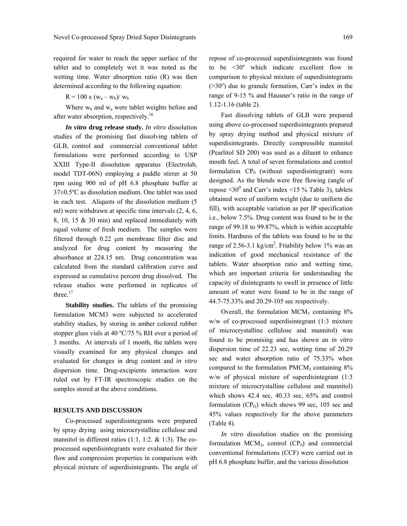required for water to reach the upper surface of the tablet and to completely wet it was noted as the wetting time. Water absorption ratio (R) was then determined according to the following equation:

 $R = 100 \text{ x } (w_a - w_b) / w_b$ 

Where  $w<sub>b</sub>$  and  $w<sub>a</sub>$  were tablet weights before and after water absorption, respectively.<sup>16</sup>

*In vitro* **drug release study.** *In vitro* dissolution studies of the promising fast dissolving tablets of GLB, control and commercial conventional tablet formulations were performed according to USP XXIII Type-II dissolution apparatus (Electrolab, model TDT-06N) employing a paddle stirrer at 50 rpm using 900 ml of pH 6.8 phosphate buffer at 37±0.5ºC as dissolution medium. One tablet was used in each test. Aliquots of the dissolution medium (5 ml) were withdrawn at specific time intervals (2, 4, 6, 8, 10, 15 & 30 min) and replaced immediately with equal volume of fresh medium. The samples were filtered through 0.22 µm membrane filter disc and analyzed for drug content by measuring the absorbance at 224.15 nm. Drug concentration was calculated from the standard calibration curve and expressed as cumulative percent drug dissolved. The release studies were performed in replicates of three.<sup>17</sup>

**Stability studies.** The tablets of the promising formulation MCM3 were subjected to accelerated stability studies, by storing in amber colored rubber stopper glass vials at 40 ºC/75 % RH over a period of 3 months. At intervals of 1 month, the tablets were visually examined for any physical changes and evaluated for changes in drug content and *in vitro* dispersion time. Drug-excipients interaction were ruled out by FT-IR spectroscopic studies on the samples stored at the above conditions.

#### **RESULTS AND DISCUSSION**

 Co-processed superdisintegrants were prepared by spray drying using microcrystalline cellulose and mannitol in different ratios (1:1, 1:2. & 1:3). The coprocessed superdisintegrants were evaluated for their flow and compression properties in comparison with physical mixture of superdisintegrants. The angle of repose of co-processed superdisintegrants was found to be  $\leq 30^\circ$  which indicate excellent flow in comparison to physical mixture of superdisintegrants  $(>=30^{\circ})$  due to granule formation, Carr's index in the range of 9-15 % and Hausner's ratio in the range of 1.12-1.16 (table 2).

 Fast dissolving tablets of GLB were prepared using above co-processed superdisintegrants prepared by spray drying method and physical mixture of superdisintegrants. Directly compressible mannitol (Pearlitol SD 200) was used as a diluent to enhance mouth feel. A total of seven formulations and control formulation  $CP_0$  (without superdisintegrant) were designed. As the blends were free flowing (angle of repose  $\leq 30^0$  and Carr's index  $\leq 15$  % Table 3), tablets obtained were of uniform weight (due to uniform die fill), with acceptable variation as per IP specification i.e., below 7.5%. Drug content was found to be in the range of 99.18 to 99.87%, which is within acceptable limits. Hardness of the tablets was found to be in the range of 2.56-3.1 kg/cm<sup>2</sup>. Friability below 1% was an indication of good mechanical resistance of the tablets. Water absorption ratio and wetting time, which are important criteria for understanding the capacity of disintegrants to swell in presence of little amount of water were found to be in the range of 44.7-75.33% and 20.29-105 sec respectively.

Overall, the formulation  $MCM<sub>3</sub>$  containing  $8\%$ w/w of co-processed superdisintegrant (1:3 mixture of microcrystalline cellulose and mannitol) was found to be promising and has shown an *in vitro* dispersion time of 22.23 sec, wetting time of 20.29 sec and water absorption ratio of 75.33% when compared to the formulation  $PMCM_3$  containing  $8\%$ w/w of physical mixture of superdisintegrant (1:3 mixture of microcrystalline cellulose and mannitol) which shows 42.4 sec, 40.33 sec, 65% and control formulation  $(CP_0)$  which shows 99 sec, 105 sec and 45% values respectively for the above parameters (Table 4).

*In vitro* dissolution studies on the promising formulation MCM<sub>3</sub>, control  $(CP_0)$  and commercial conventional formulations (CCF) were carried out in pH 6.8 phosphate buffer, and the various dissolution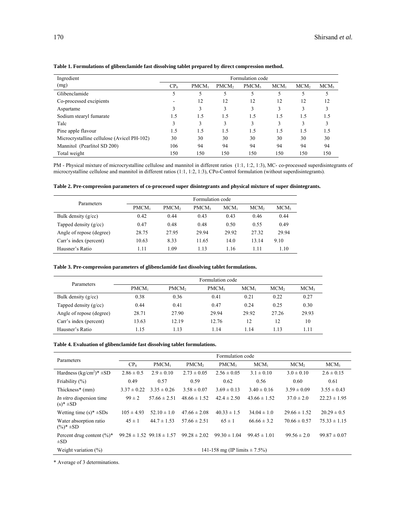| Ingredient                                 | Formulation code |          |                   |                   |         |                  |                  |
|--------------------------------------------|------------------|----------|-------------------|-------------------|---------|------------------|------------------|
| (mg)                                       | CP <sub>0</sub>  | $PMCM_1$ | PMCM <sub>2</sub> | PMCM <sub>3</sub> | $MCM_1$ | MCM <sub>2</sub> | MCM <sub>3</sub> |
| Glibenclamide                              |                  | 5        |                   | 5                 |         | 5                |                  |
| Co-processed excipients                    |                  | 12       | 12                | 12                | 12      | 12               | 12               |
| Aspartame                                  |                  | 3        | 3                 | 3                 | 3       | 3                |                  |
| Sodium stearyl fumarate                    | 1.5              | 1.5      | 1.5               | 1.5               | 1.5     | 1.5              | 1.5              |
| Talc                                       | 3                | 3        | 3                 | 3                 | 3       | 3                |                  |
| Pine apple flavour                         | 1.5              | 1.5      | 1.5               | 1.5               | 1.5     | 1.5              | 1.5              |
| Microcrystalline cellulose (Avicel PH-102) | 30               | 30       | 30                | 30                | 30      | 30               | 30               |
| Mannitol (Pearlitol SD 200)                | 106              | 94       | 94                | 94                | 94      | 94               | 94               |
| Total weight                               | 150              | 150      | 150               | 150               | 150     | 150              | 150              |

#### **Table 1. Formulations of glibenclamide fast dissolving tablet prepared by direct compression method.**

PM - Physical mixture of microcrystalline cellulose and mannitol in different ratios (1:1, 1:2, 1:3), MC- co-processed superdisintegrants of microcrystalline cellulose and mannitol in different ratios (1:1, 1:2, 1:3), CPo-Control formulation (without superdisintegrants).

|  |  | Table 2. Pre-compression parameters of co-processed super disintegrants and physical mixture of super disintegrants. |
|--|--|----------------------------------------------------------------------------------------------------------------------|

| Parameters               | Formulation code  |                   |                   |         |                  |                  |  |
|--------------------------|-------------------|-------------------|-------------------|---------|------------------|------------------|--|
|                          | PMCM <sub>1</sub> | PMCM <sub>2</sub> | PMCM <sub>3</sub> | $MCM_1$ | MCM <sub>2</sub> | MCM <sub>3</sub> |  |
| Bulk density $(g/cc)$    | 0.42              | 0.44              | 0.43              | 0.43    | 0.46             | 0.44             |  |
| Tapped density $(g/cc)$  | 0.47              | 0.48              | 0.48              | 0.50    | 0.55             | 0.49             |  |
| Angle of repose (degree) | 28.75             | 27.95             | 29.94             | 29.92   | 27.32            | 29.94            |  |
| Carr's index (percent)   | 10.63             | 8.33              | 11.65             | 14.0    | 13.14            | 9.10             |  |
| Hausner's Ratio          | 1.11              | 1.09              | 1.13              | 1.16    | 1.11             | 1.10             |  |

# **Table 3. Pre-compression parameters of glibenclamide fast dissolving tablet formulations.**

| Parameters               | Formulation code |                   |                   |         |                  |                  |  |  |
|--------------------------|------------------|-------------------|-------------------|---------|------------------|------------------|--|--|
|                          | $PMCM_1$         | PMCM <sub>2</sub> | PMCM <sub>3</sub> | $MCM_1$ | MCM <sub>2</sub> | MCM <sub>3</sub> |  |  |
| Bulk density $(g/cc)$    | 0.38             | 0.36              | 0.41              | 0.21    | 0.22             | 0.27             |  |  |
| Tapped density $(g/cc)$  | 0.44             | 0.41              | 0.47              | 0.24    | 0.25             | 0.30             |  |  |
| Angle of repose (degree) | 28.71            | 27.90             | 29.94             | 29.92   | 27.26            | 29.93            |  |  |
| Carr's index (percent)   | 13.63            | 12.19             | 12.76             | 12      | 12               | 10               |  |  |
| Hausner's Ratio          | 1.15             | 1.13              | 1.14              | 1.14    | 1.13             | 1.11             |  |  |

#### **Table 4. Evaluation of glibenclamide fast dissolving tablet formulations.**

| Parameters                                          |                                   | Formulation code                  |                   |                   |                  |                  |                  |  |  |
|-----------------------------------------------------|-----------------------------------|-----------------------------------|-------------------|-------------------|------------------|------------------|------------------|--|--|
|                                                     | CP <sub>0</sub>                   | $PMCM_1$                          | PMCM <sub>2</sub> | PMCM <sub>3</sub> | $MCM_1$          | MCM <sub>2</sub> | MCM <sub>3</sub> |  |  |
| Hardness $(kg/cm2)$ <sup>*</sup> $\pm SD$           | $2.86 \pm 0.5$                    | $2.9 \pm 0.10$                    | $2.73 \pm 0.05$   | $2.56 \pm 0.05$   | $3.1 \pm 0.10$   | $3.0 \pm 0.10$   | $2.6 \pm 0.15$   |  |  |
| Friability $(\%)$                                   | 0.49                              | 0.57                              | 0.59              | 0.62              | 0.56             | 0.60             | 0.61             |  |  |
| Thickness* (mm)                                     | $3.37 \pm 0.22$                   | $3.35 \pm 0.26$                   | $3.58 \pm 0.07$   | $3.69 \pm 0.13$   | $3.40 \pm 0.16$  | $3.59 \pm 0.09$  | $3.55 \pm 0.43$  |  |  |
| <i>In vitro</i> dispersion time<br>$(s)$ * $\pm$ SD | $99 \pm 2$                        | $57.66 \pm 2.51$                  | $48.66 \pm 1.52$  | $42.4 \pm 2.50$   | $43.66 \pm 1.52$ | $37.0 \pm 2.0$   | $22.23 \pm 1.95$ |  |  |
| Wetting time $(s)^* \pm SDs$                        | $105 \pm 4.93$                    | $52.10 \pm 1.0$                   | $47.66 \pm 2.08$  | $40.33 \pm 1.5$   | $34.04 \pm 1.0$  | $29.66 \pm 1.52$ | $20.29 \pm 0.5$  |  |  |
| Water absorption ratio<br>$(\%)^*$ ±SD              | $45 \pm 1$                        | $44.7 \pm 1.53$                   | $57.66 \pm 2.51$  | $65 \pm 1$        | $66.66 \pm 3.2$  | $70.66 \pm 0.57$ | $75.33 \pm 1.15$ |  |  |
| Percent drug content $(\%)^*$<br>$\pm SD$           |                                   | $99.28 \pm 1.52$ $99.18 \pm 1.57$ | $99.28 \pm 2.02$  | $99.30 \pm 1.04$  | $99.45 \pm 1.01$ | $99.56 \pm 2.0$  | $99.87 \pm 0.07$ |  |  |
| Weight variation $(\%)$                             | 141-158 mg (IP limits $\pm$ 7.5%) |                                   |                   |                   |                  |                  |                  |  |  |

\* Average of 3 determinations.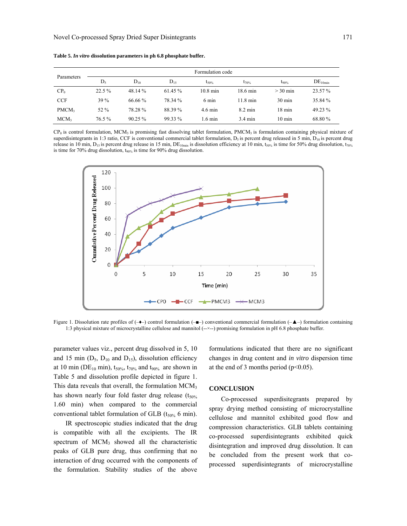|                   | Formulation code |            |          |                    |                    |                  |                     |  |
|-------------------|------------------|------------|----------|--------------------|--------------------|------------------|---------------------|--|
| Parameters        | $D_5$            | $D_{10}$   | $D_{15}$ | $t_{50\%}$         | $t_{70\%}$         | $t_{90\%}$       | DE <sub>10min</sub> |  |
| CP <sub>0</sub>   | 22.5 %           | 48.14 %    | 61.45 %  | $10.8 \text{ min}$ | $18.6 \text{ min}$ | $>$ 30 min       | 23.57 %             |  |
| <b>CCF</b>        | 39 %             | $66.66\%$  | 78.34 %  | $6 \text{ min}$    | $11.8 \text{ min}$ | $30 \text{ min}$ | 35.84 %             |  |
| PMCM <sub>3</sub> | 52 %             | 78.28 %    | 88.39 %  | 4.6 min            | $8.2 \text{ min}$  | $18 \text{ min}$ | 49.23 %             |  |
| MCM <sub>3</sub>  | 76.5%            | $90.25 \%$ | 99.33 %  | $1.6 \text{ min}$  | $3.4 \text{ min}$  | $10 \text{ min}$ | 68.80 %             |  |

**Table 5.** *In vitro* **dissolution parameters in ph 6.8 phosphate buffer.** 

 $CP<sub>0</sub>$  is control formulation, MCM<sub>3</sub> is promising fast dissolving tablet formulation, PMCM<sub>3</sub> is formulation containing physical mixture of superdisintegrants in 1:3 ratio, CCF is conventional commercial tablet formulation,  $D_5$  is percent drug released in 5 min,  $D_{10}$  is percent drug release in 10 min,  $D_{15}$  is percent drug release in 15 min,  $DE_{10min}$  is dissolution efficiency at 10 min,  $t_{50\%}$  is time for 50% drug dissolution,  $t_{70\%}$ is time for 70% drug dissolution,  $t_{90\%}$  is time for 90% drug dissolution.



Figure 1. Dissolution rate profiles of  $(-\rightarrow)$  control formulation  $(-\rightarrow)$  conventional commercial formulation  $(-\rightarrow)$  formulation containing 1:3 physical mixture of microcrystalline cellulose and mannitol (--×--) promising formulation in pH 6.8 phosphate buffer.

parameter values viz., percent drug dissolved in 5, 10 and 15 min  $(D_5, D_{10}$  and  $D_{15}$ ), dissolution efficiency at 10 min (DE<sub>10</sub> min),  $t_{50\%}$ ,  $t_{70\%}$  and  $t_{90\%}$  are shown in Table 5 and dissolution profile depicted in figure 1. This data reveals that overall, the formulation MCM<sub>3</sub> has shown nearly four fold faster drug release  $(t_{50\%})$ 1.60 min) when compared to the commercial conventional tablet formulation of GLB ( $t_{50\%}$  6 min).

 IR spectroscopic studies indicated that the drug is compatible with all the excipients. The IR spectrum of  $MCM<sub>3</sub>$  showed all the characteristic peaks of GLB pure drug, thus confirming that no interaction of drug occurred with the components of the formulation. Stability studies of the above

formulations indicated that there are no significant changes in drug content and *in vitro* dispersion time at the end of 3 months period ( $p<0.05$ ).

#### **CONCLUSION**

Co-processed superdisitegrants prepared by spray drying method consisting of microcrystalline cellulose and mannitol exhibited good flow and compression characteristics. GLB tablets containing co-processed superdisintegrants exhibited quick disintegration and improved drug dissolution. It can be concluded from the present work that coprocessed superdisintegrants of microcrystalline